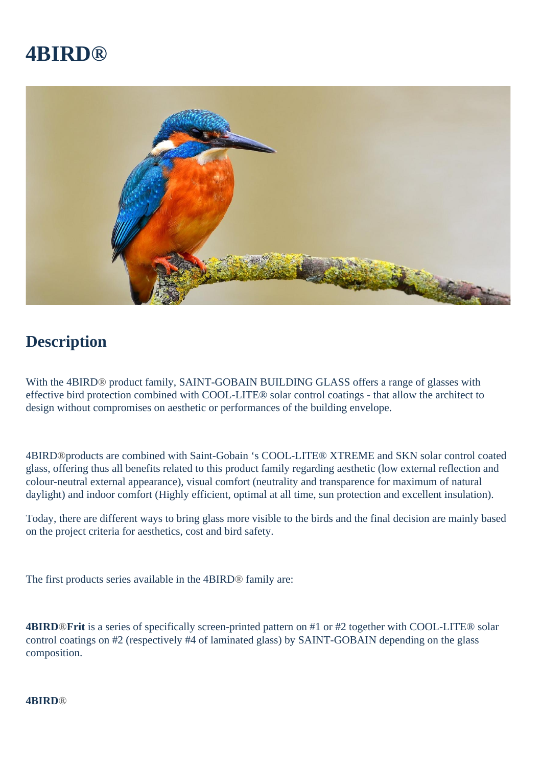# **4BIRD®**



## **Description**

With the 4BIRD® product family, SAINT-GOBAIN BUILDING GLASS offers a range of glasses with effective bird protection combined with COOL-LITE® solar control coatings - that allow the architect to design without compromises on aesthetic or performances of the building envelope.

4BIRD®products are combined with Saint-Gobain 's COOL-LITE® XTREME and SKN solar control coated glass, offering thus all benefits related to this product family regarding aesthetic (low external reflection and colour-neutral external appearance), visual comfort (neutrality and transparence for maximum of natural daylight) and indoor comfort (Highly efficient, optimal at all time, sun protection and excellent insulation).

Today, there are different ways to bring glass more visible to the birds and the final decision are mainly based on the project criteria for aesthetics, cost and bird safety.

The first products series available in the 4BIRD® family are:

**4BIRD**®**Frit** is a series of specifically screen-printed pattern on #1 or #2 together with COOL-LITE® solar control coatings on #2 (respectively #4 of laminated glass) by SAINT-GOBAIN depending on the glass composition.

#### **4BIRD**®